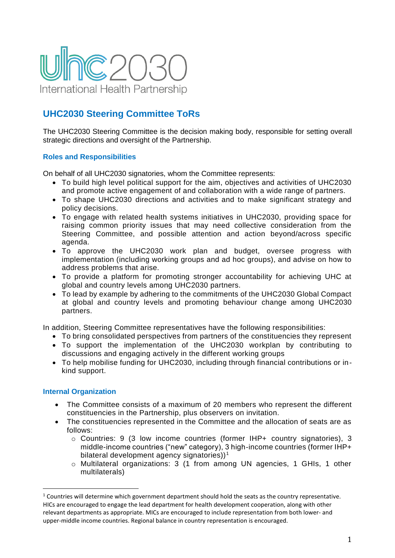

## **UHC2030 Steering Committee ToRs**

The UHC2030 Steering Committee is the decision making body, responsible for setting overall strategic directions and oversight of the Partnership.

## **Roles and Responsibilities**

On behalf of all UHC2030 signatories, whom the Committee represents:

- To build high level political support for the aim, objectives and activities of UHC2030 and promote active engagement of and collaboration with a wide range of partners.
- To shape UHC2030 directions and activities and to make significant strategy and policy decisions.
- To engage with related health systems initiatives in UHC2030, providing space for raising common priority issues that may need collective consideration from the Steering Committee, and possible attention and action beyond/across specific agenda.
- To approve the UHC2030 work plan and budget, oversee progress with implementation (including working groups and ad hoc groups), and advise on how to address problems that arise.
- To provide a platform for promoting stronger accountability for achieving UHC at global and country levels among UHC2030 partners.
- To lead by example by adhering to the commitments of the UHC2030 Global Compact at global and country levels and promoting behaviour change among UHC2030 partners.

In addition, Steering Committee representatives have the following responsibilities:

- To bring consolidated perspectives from partners of the constituencies they represent
- To support the implementation of the UHC2030 workplan by contributing to discussions and engaging actively in the different working groups
- To help mobilise funding for UHC2030, including through financial contributions or inkind support.

## **Internal Organization**

- The Committee consists of a maximum of 20 members who represent the different constituencies in the Partnership, plus observers on invitation.
- The constituencies represented in the Committee and the allocation of seats are as follows:
	- $\circ$  Countries: 9 (3 low income countries (former IHP+ country signatories), 3 middle-income countries ("new" category), 3 high-income countries (former IHP+ bilateral development agency signatories) $1<sup>1</sup>$
	- o Multilateral organizations: 3 (1 from among UN agencies, 1 GHIs, 1 other multilaterals)

 $1$  Countries will determine which government department should hold the seats as the country representative. HICs are encouraged to engage the lead department for health development cooperation, along with other relevant departments as appropriate. MICs are encouraged to include representation from both lower- and upper-middle income countries. Regional balance in country representation is encouraged.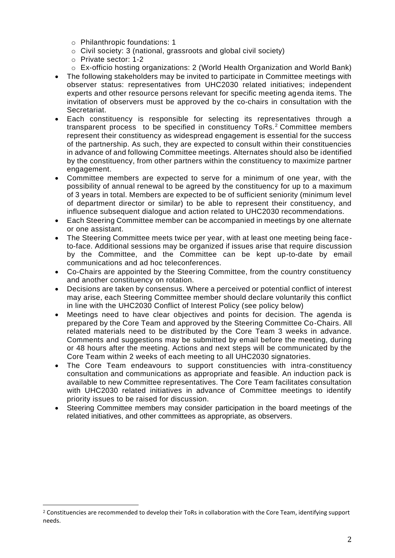- o Philanthropic foundations: 1
- o Civil society: 3 (national, grassroots and global civil society)
- o Private sector: 1-2
- o Ex-officio hosting organizations: 2 (World Health Organization and World Bank)
- The following stakeholders may be invited to participate in Committee meetings with observer status: representatives from UHC2030 related initiatives; independent experts and other resource persons relevant for specific meeting agenda items. The invitation of observers must be approved by the co-chairs in consultation with the Secretariat.
- Each constituency is responsible for selecting its representatives through a transparent process to be specified in constituency ToRs. <sup>2</sup> Committee members represent their constituency as widespread engagement is essential for the success of the partnership. As such, they are expected to consult within their constituencies in advance of and following Committee meetings. Alternates should also be identified by the constituency, from other partners within the constituency to maximize partner engagement.
- Committee members are expected to serve for a minimum of one year, with the possibility of annual renewal to be agreed by the constituency for up to a maximum of 3 years in total. Members are expected to be of sufficient seniority (minimum level of department director or similar) to be able to represent their constituency, and influence subsequent dialogue and action related to UHC2030 recommendations.
- Each Steering Committee member can be accompanied in meetings by one alternate or one assistant.
- The Steering Committee meets twice per year, with at least one meeting being faceto-face. Additional sessions may be organized if issues arise that require discussion by the Committee, and the Committee can be kept up-to-date by email communications and ad hoc teleconferences.
- Co-Chairs are appointed by the Steering Committee, from the country constituency and another constituency on rotation.
- Decisions are taken by consensus. Where a perceived or potential conflict of interest may arise, each Steering Committee member should declare voluntarily this conflict in line with the UHC2030 Conflict of Interest Policy (see policy below)
- Meetings need to have clear objectives and points for decision. The agenda is prepared by the Core Team and approved by the Steering Committee Co-Chairs. All related materials need to be distributed by the Core Team 3 weeks in advance. Comments and suggestions may be submitted by email before the meeting, during or 48 hours after the meeting. Actions and next steps will be communicated by the Core Team within 2 weeks of each meeting to all UHC2030 signatories.
- The Core Team endeavours to support constituencies with intra-constituency consultation and communications as appropriate and feasible. An induction pack is available to new Committee representatives. The Core Team facilitates consultation with UHC2030 related initiatives in advance of Committee meetings to identify priority issues to be raised for discussion.
- Steering Committee members may consider participation in the board meetings of the related initiatives, and other committees as appropriate, as observers.

<sup>&</sup>lt;sup>2</sup> Constituencies are recommended to develop their ToRs in collaboration with the Core Team, identifying support needs.